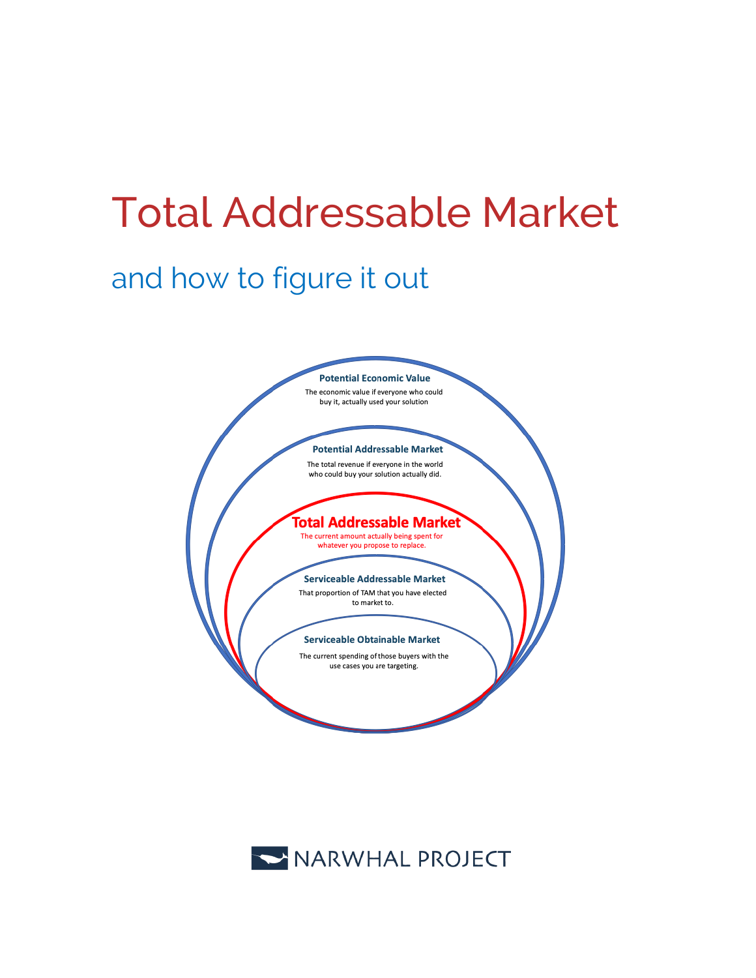# Total Addressable Market

# and how to figure it out



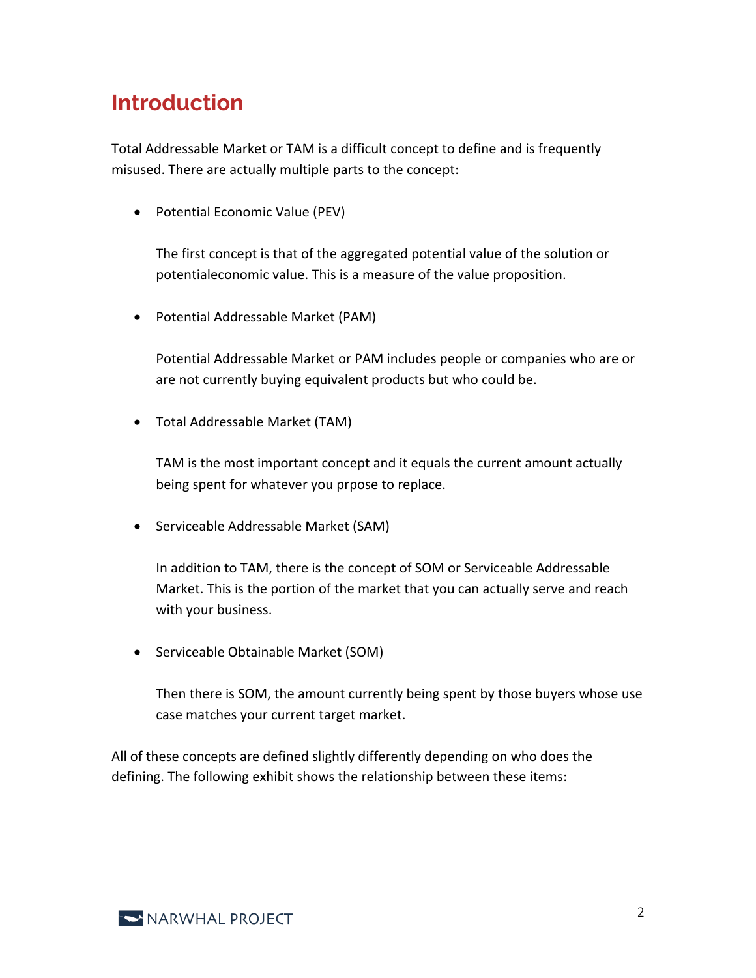# **Introduction**

Total Addressable Market or TAM is a difficult concept to define and is frequently misused. There are actually multiple parts to the concept:

• Potential Economic Value (PEV)

The first concept is that of the aggregated potential value of the solution or potentialeconomic value. This is a measure of the value proposition.

• Potential Addressable Market (PAM)

Potential Addressable Market or PAM includes people or companies who are or are not currently buying equivalent products but who could be.

• Total Addressable Market (TAM)

TAM is the most important concept and it equals the current amount actually being spent for whatever you prpose to replace.

• Serviceable Addressable Market (SAM)

In addition to TAM, there is the concept of SOM or Serviceable Addressable Market. This is the portion of the market that you can actually serve and reach with your business.

• Serviceable Obtainable Market (SOM)

Then there is SOM, the amount currently being spent by those buyers whose use case matches your current target market.

All of these concepts are defined slightly differently depending on who does the defining. The following exhibit shows the relationship between these items:

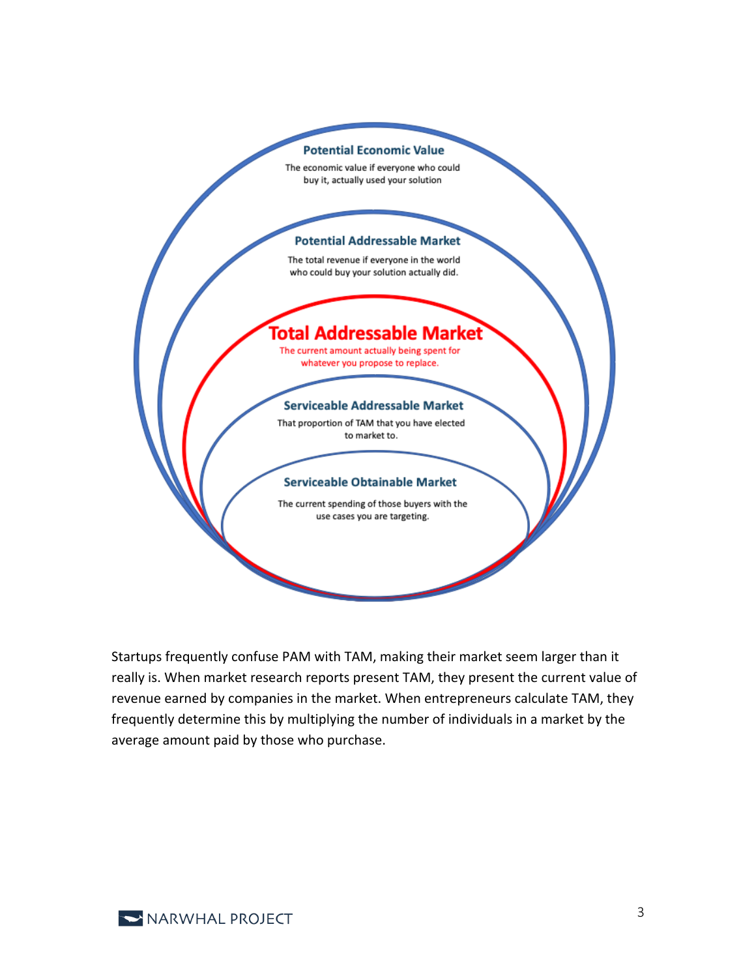#### **Potential Economic Value**

The economic value if everyone who could buy it, actually used your solution

#### **Potential Addressable Market**

The total revenue if everyone in the world who could buy your solution actually did.

### iotal Addressable Market

The current amount actually being spent for whatever you propose to replace.

#### **Serviceable Addressable Market**

That proportion of TAM that you have elected to market to.

#### **Serviceable Obtainable Market**

The current spending of those buyers with the use cases you are targeting.

Startups frequently confuse PAM with TAM, making their market seem larger than it really is. When market research reports present TAM, they present the current value of revenue earned by companies in the market. When entrepreneurs calculate TAM, they frequently determine this by multiplying the number of individuals in a market by the average amount paid by those who purchase.

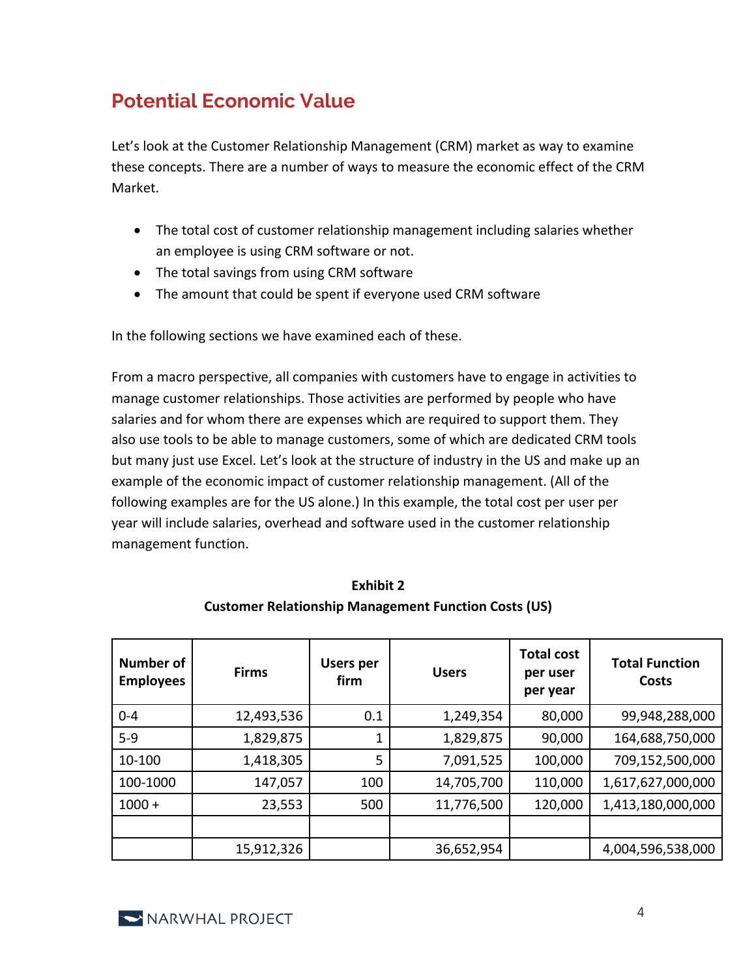### **Potential Economic Value**

Let's look at the Customer Relationship Management (CRM) market as way to examine these concepts. There are a number of ways to measure the economic effect of the CRM Market.

- The total cost of customer relationship management including salaries whether an employee is using CRM software or not.
- The total savings from using CRM software
- The amount that could be spent if everyone used CRM software

In the following sections we have examined each of these.

From a macro perspective, all companies with customers have to engage in activities to manage customer relationships. Those activities are performed by people who have salaries and for whom there are expenses which are required to support them. They also use tools to be able to manage customers, some of which are dedicated CRM tools but many just use Excel. Let's look at the structure of industry in the US and make up an example of the economic impact of customer relationship management. (All of the following examples are for the US alone.) In this example, the total cost per user per year will include salaries, overhead and software used in the customer relationship management function.

| <b>Number of</b><br><b>Employees</b> | <b>Firms</b> | <b>Users per</b><br>firm | <b>Users</b> | <b>Total cost</b><br>per user<br>per year | <b>Total Function</b><br>Costs |
|--------------------------------------|--------------|--------------------------|--------------|-------------------------------------------|--------------------------------|
| $0 - 4$                              | 12,493,536   | 0.1                      | 1,249,354    | 80,000                                    | 99,948,288,000                 |
| $5-9$                                | 1,829,875    |                          | 1,829,875    | 90,000                                    | 164,688,750,000                |
| 10-100                               | 1,418,305    | 5                        | 7,091,525    | 100,000                                   | 709,152,500,000                |
| 100-1000                             | 147,057      | 100                      | 14,705,700   | 110,000                                   | 1,617,627,000,000              |
| $1000 +$                             | 23,553       | 500                      | 11,776,500   | 120,000                                   | 1,413,180,000,000              |
|                                      |              |                          |              |                                           |                                |
|                                      | 15,912,326   |                          | 36,652,954   |                                           | 4,004,596,538,000              |

**Exhibit 2 Customer Relationship Management Function Costs (US)**

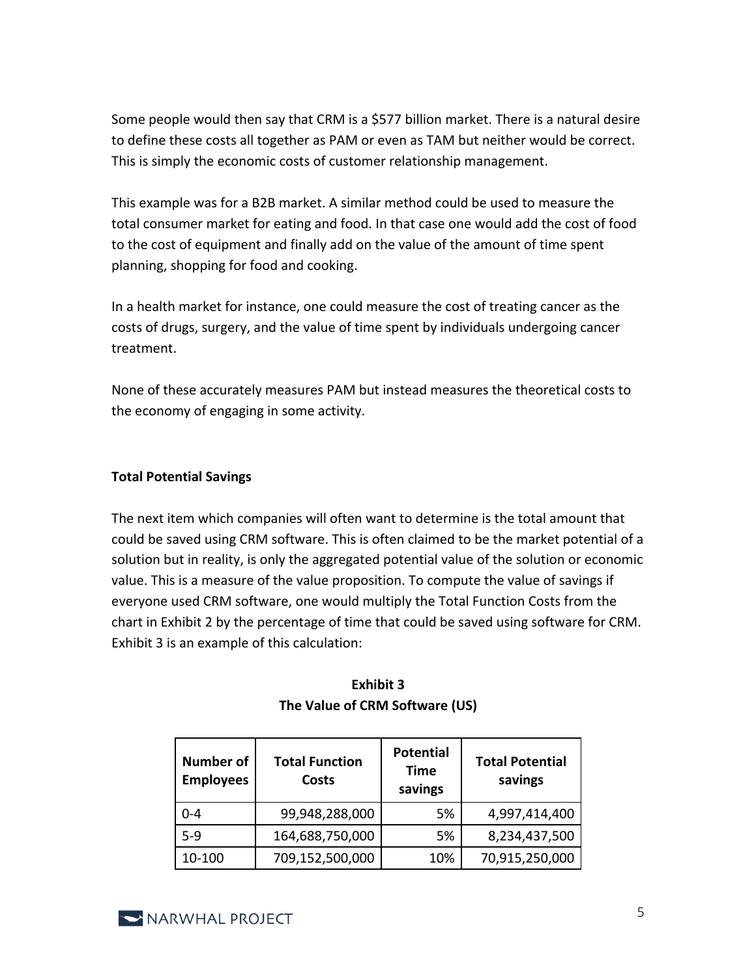Some people would then say that CRM is a \$577 billion market. There is a natural desire to define these costs all together as PAM or even as TAM but neither would be correct. This is simply the economic costs of customer relationship management.

This example was for a B2B market. A similar method could be used to measure the total consumer market for eating and food. In that case one would add the cost of food to the cost of equipment and finally add on the value of the amount of time spent planning, shopping for food and cooking.

In a health market for instance, one could measure the cost of treating cancer as the costs of drugs, surgery, and the value of time spent by individuals undergoing cancer treatment.

None of these accurately measures PAM but instead measures the theoretical costs to the economy of engaging in some activity.

#### **Total Potential Savings**

The next item which companies will often want to determine is the total amount that could be saved using CRM software. This is often claimed to be the market potential of a solution but in reality, is only the aggregated potential value of the solution or economic value. This is a measure of the value proposition. To compute the value of savings if everyone used CRM software, one would multiply the Total Function Costs from the chart in Exhibit 2 by the percentage of time that could be saved using software for CRM. Exhibit 3 is an example of this calculation:

| <b>Number of</b><br><b>Employees</b> | <b>Total Function</b><br>Costs | <b>Potential</b><br><b>Time</b><br>savings | <b>Total Potential</b><br>savings |
|--------------------------------------|--------------------------------|--------------------------------------------|-----------------------------------|
| $0 - 4$                              | 99,948,288,000                 | 5%                                         | 4,997,414,400                     |
| $5 - 9$                              | 164,688,750,000                | 5%                                         | 8,234,437,500                     |
| 10-100                               | 709,152,500,000                | 10%                                        | 70,915,250,000                    |

#### **Exhibit 3 The Value of CRM Software (US)**

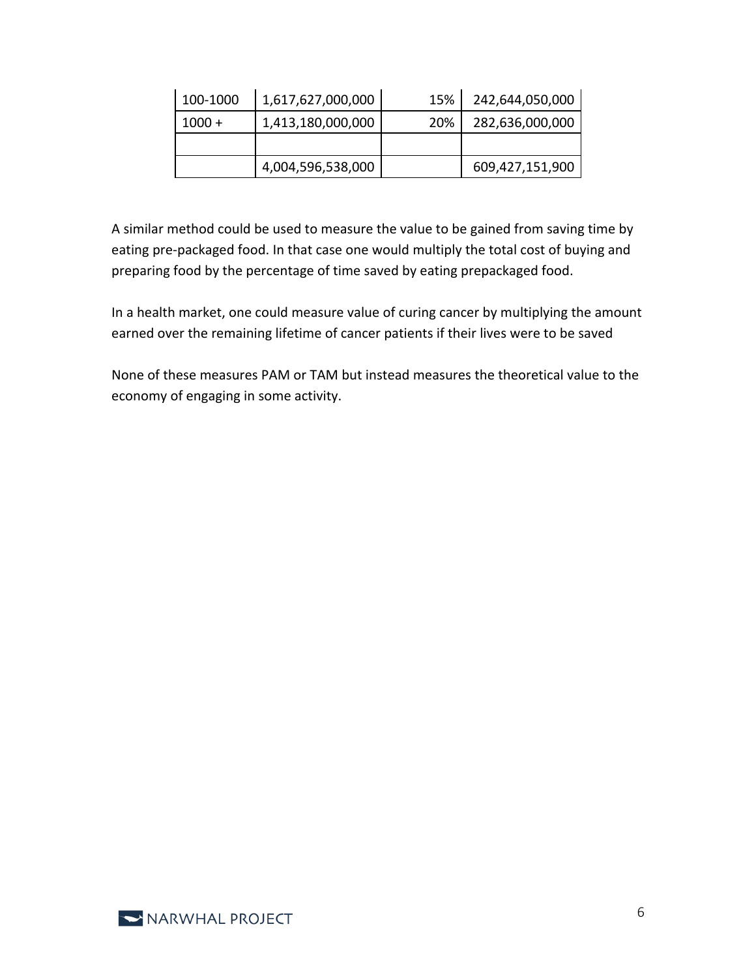| 100-1000 | 1,617,627,000,000 | 15% | 242,644,050,000 |
|----------|-------------------|-----|-----------------|
| $1000 +$ | 1,413,180,000,000 | 20% | 282,636,000,000 |
|          |                   |     |                 |
|          | 4,004,596,538,000 |     | 609,427,151,900 |

A similar method could be used to measure the value to be gained from saving time by eating pre-packaged food. In that case one would multiply the total cost of buying and preparing food by the percentage of time saved by eating prepackaged food.

In a health market, one could measure value of curing cancer by multiplying the amount earned over the remaining lifetime of cancer patients if their lives were to be saved

None of these measures PAM or TAM but instead measures the theoretical value to the economy of engaging in some activity.

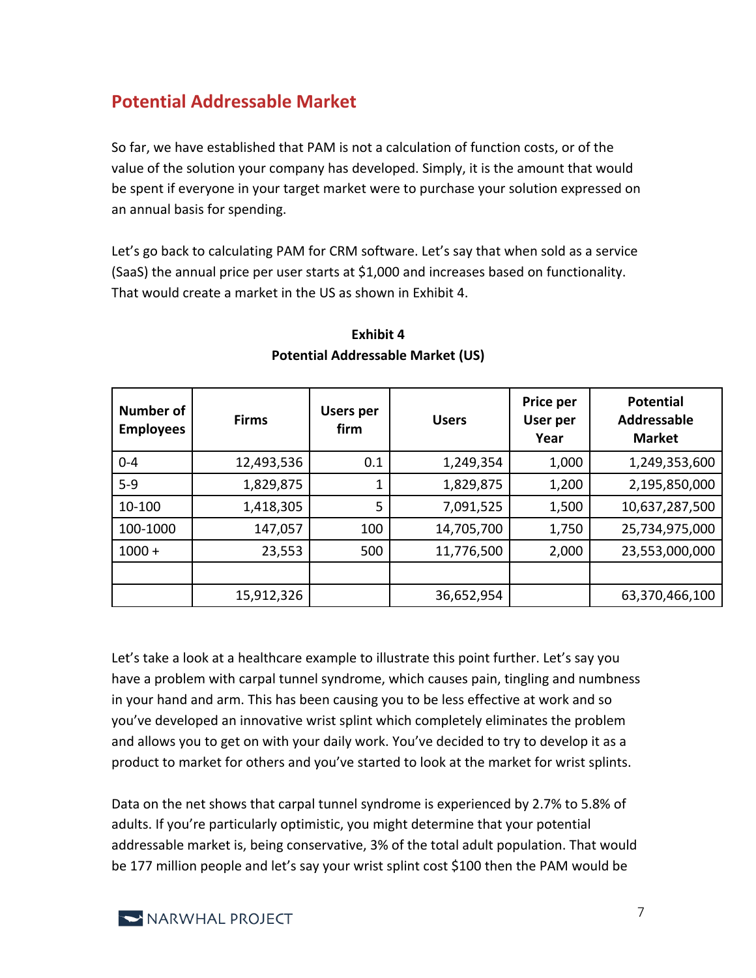### **Potential Addressable Market**

So far, we have established that PAM is not a calculation of function costs, or of the value of the solution your company has developed. Simply, it is the amount that would be spent if everyone in your target market were to purchase your solution expressed on an annual basis for spending.

Let's go back to calculating PAM for CRM software. Let's say that when sold as a service (SaaS) the annual price per user starts at \$1,000 and increases based on functionality. That would create a market in the US as shown in Exhibit 4.

| <b>Number of</b><br><b>Employees</b> | <b>Firms</b> | <b>Users per</b><br>firm | <b>Users</b> | Price per<br>User per<br>Year | <b>Potential</b><br><b>Addressable</b><br><b>Market</b> |
|--------------------------------------|--------------|--------------------------|--------------|-------------------------------|---------------------------------------------------------|
| $0 - 4$                              | 12,493,536   | 0.1                      | 1,249,354    | 1,000                         | 1,249,353,600                                           |
| $5-9$                                | 1,829,875    |                          | 1,829,875    | 1,200                         | 2,195,850,000                                           |
| 10-100                               | 1,418,305    | 5                        | 7,091,525    | 1,500                         | 10,637,287,500                                          |
| 100-1000                             | 147,057      | 100                      | 14,705,700   | 1,750                         | 25,734,975,000                                          |
| $1000 +$                             | 23,553       | 500                      | 11,776,500   | 2,000                         | 23,553,000,000                                          |
|                                      |              |                          |              |                               |                                                         |
|                                      | 15,912,326   |                          | 36,652,954   |                               | 63,370,466,100                                          |

#### **Exhibit 4 Potential Addressable Market (US)**

Let's take a look at a healthcare example to illustrate this point further. Let's say you have a problem with carpal tunnel syndrome, which causes pain, tingling and numbness in your hand and arm. This has been causing you to be less effective at work and so you've developed an innovative wrist splint which completely eliminates the problem and allows you to get on with your daily work. You've decided to try to develop it as a product to market for others and you've started to look at the market for wrist splints.

Data on the net shows that carpal tunnel syndrome is experienced by 2.7% to 5.8% of adults. If you're particularly optimistic, you might determine that your potential addressable market is, being conservative, 3% of the total adult population. That would be 177 million people and let's say your wrist splint cost \$100 then the PAM would be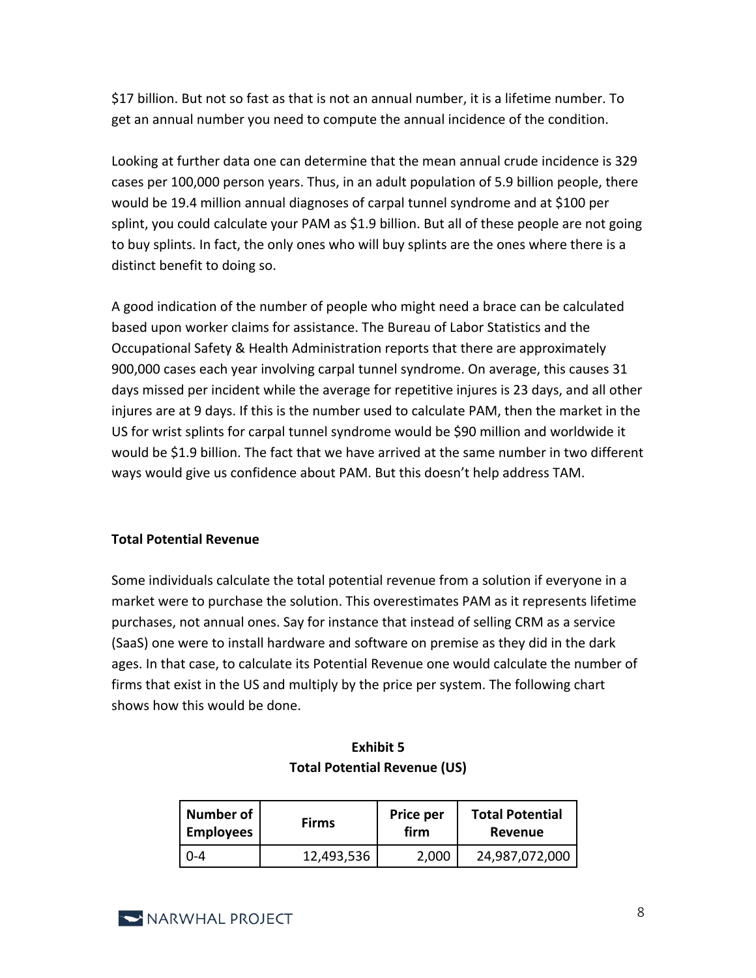\$17 billion. But not so fast as that is not an annual number, it is a lifetime number. To get an annual number you need to compute the annual incidence of the condition.

Looking at further data one can determine that the mean annual crude incidence is 329 cases per 100,000 person years. Thus, in an adult population of 5.9 billion people, there would be 19.4 million annual diagnoses of carpal tunnel syndrome and at \$100 per splint, you could calculate your PAM as \$1.9 billion. But all of these people are not going to buy splints. In fact, the only ones who will buy splints are the ones where there is a distinct benefit to doing so.

A good indication of the number of people who might need a brace can be calculated based upon worker claims for assistance. The Bureau of Labor Statistics and the Occupational Safety & Health Administration reports that there are approximately 900,000 cases each year involving carpal tunnel syndrome. On average, this causes 31 days missed per incident while the average for repetitive injures is 23 days, and all other injures are at 9 days. If this is the number used to calculate PAM, then the market in the US for wrist splints for carpal tunnel syndrome would be \$90 million and worldwide it would be \$1.9 billion. The fact that we have arrived at the same number in two different ways would give us confidence about PAM. But this doesn't help address TAM.

#### **Total Potential Revenue**

Some individuals calculate the total potential revenue from a solution if everyone in a market were to purchase the solution. This overestimates PAM as it represents lifetime purchases, not annual ones. Say for instance that instead of selling CRM as a service (SaaS) one were to install hardware and software on premise as they did in the dark ages. In that case, to calculate its Potential Revenue one would calculate the number of firms that exist in the US and multiply by the price per system. The following chart shows how this would be done.

| Number of<br><b>Firms</b><br><b>Employees</b> |            | Price per<br>firm | <b>Total Potential</b><br>Revenue |
|-----------------------------------------------|------------|-------------------|-----------------------------------|
| በ-4                                           | 12,493,536 | 2,000             | 24,987,072,000                    |

#### **Exhibit 5 Total Potential Revenue (US)**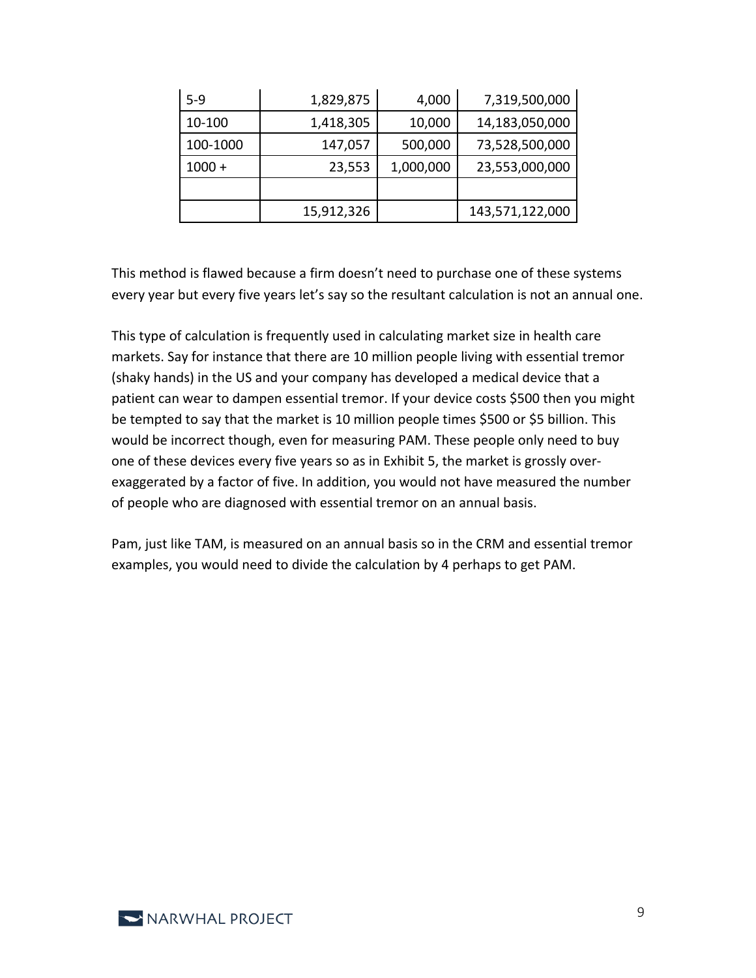| $5-9$    | 1,829,875  | 4,000     | 7,319,500,000   |
|----------|------------|-----------|-----------------|
| 10-100   | 1,418,305  | 10,000    | 14,183,050,000  |
| 100-1000 | 147,057    | 500,000   | 73,528,500,000  |
| $1000 +$ | 23,553     | 1,000,000 | 23,553,000,000  |
|          |            |           |                 |
|          | 15,912,326 |           | 143,571,122,000 |

This method is flawed because a firm doesn't need to purchase one of these systems every year but every five years let's say so the resultant calculation is not an annual one.

This type of calculation is frequently used in calculating market size in health care markets. Say for instance that there are 10 million people living with essential tremor (shaky hands) in the US and your company has developed a medical device that a patient can wear to dampen essential tremor. If your device costs \$500 then you might be tempted to say that the market is 10 million people times \$500 or \$5 billion. This would be incorrect though, even for measuring PAM. These people only need to buy one of these devices every five years so as in Exhibit 5, the market is grossly overexaggerated by a factor of five. In addition, you would not have measured the number of people who are diagnosed with essential tremor on an annual basis.

Pam, just like TAM, is measured on an annual basis so in the CRM and essential tremor examples, you would need to divide the calculation by 4 perhaps to get PAM.

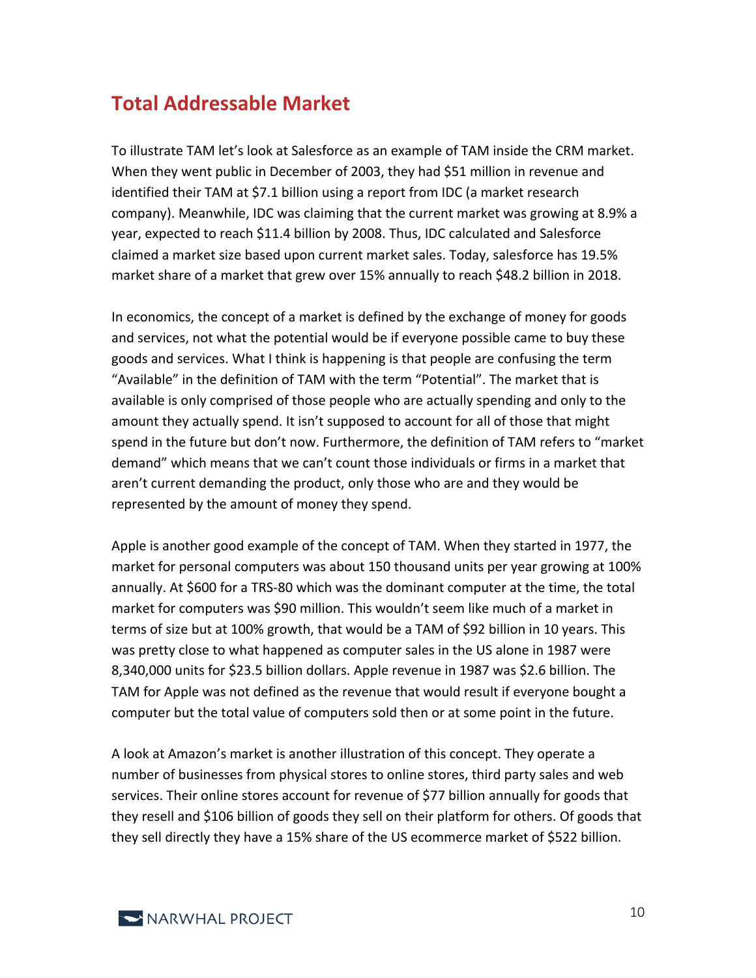### **Total Addressable Market**

To illustrate TAM let's look at Salesforce as an example of TAM inside the CRM market. When they went public in December of 2003, they had \$51 million in revenue and identified their TAM at \$7.1 billion using a report from IDC (a market research company). Meanwhile, IDC was claiming that the current market was growing at 8.9% a year, expected to reach \$11.4 billion by 2008. Thus, IDC calculated and Salesforce claimed a market size based upon current market sales. Today, salesforce has 19.5% market share of a market that grew over 15% annually to reach \$48.2 billion in 2018.

In economics, the concept of a market is defined by the exchange of money for goods and services, not what the potential would be if everyone possible came to buy these goods and services. What I think is happening is that people are confusing the term "Available" in the definition of TAM with the term "Potential". The market that is available is only comprised of those people who are actually spending and only to the amount they actually spend. It isn't supposed to account for all of those that might spend in the future but don't now. Furthermore, the definition of TAM refers to "market demand" which means that we can't count those individuals or firms in a market that aren't current demanding the product, only those who are and they would be represented by the amount of money they spend.

Apple is another good example of the concept of TAM. When they started in 1977, the market for personal computers was about 150 thousand units per year growing at 100% annually. At \$600 for a TRS-80 which was the dominant computer at the time, the total market for computers was \$90 million. This wouldn't seem like much of a market in terms of size but at 100% growth, that would be a TAM of \$92 billion in 10 years. This was pretty close to what happened as computer sales in the US alone in 1987 were 8,340,000 units for \$23.5 billion dollars. Apple revenue in 1987 was \$2.6 billion. The TAM for Apple was not defined as the revenue that would result if everyone bought a computer but the total value of computers sold then or at some point in the future.

A look at Amazon's market is another illustration of this concept. They operate a number of businesses from physical stores to online stores, third party sales and web services. Their online stores account for revenue of \$77 billion annually for goods that they resell and \$106 billion of goods they sell on their platform for others. Of goods that they sell directly they have a 15% share of the US ecommerce market of \$522 billion.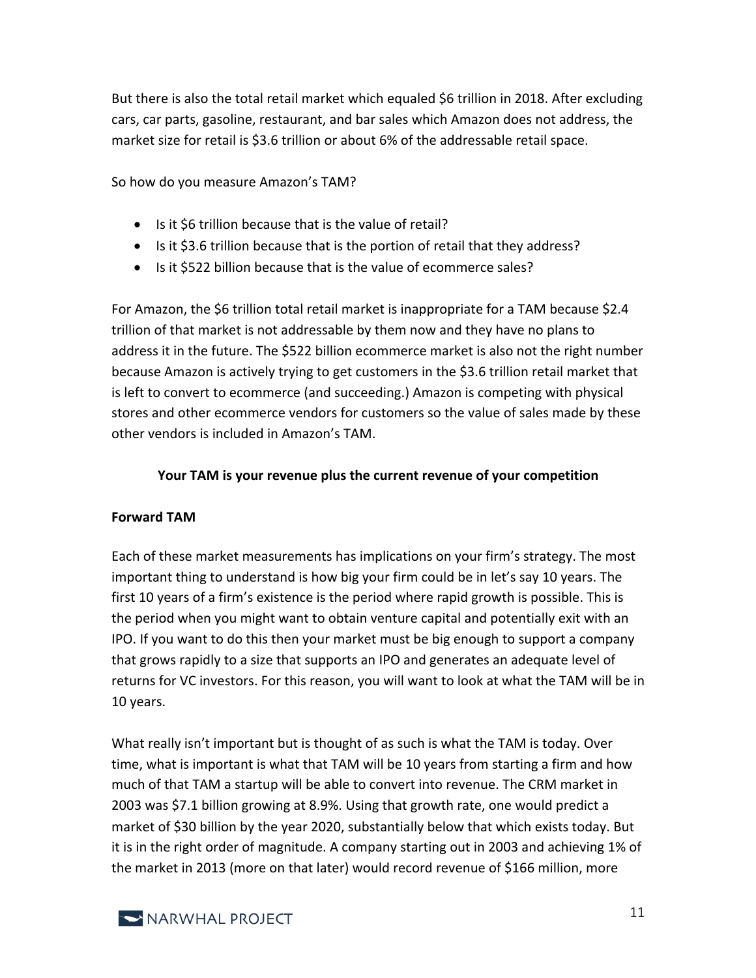But there is also the total retail market which equaled \$6 trillion in 2018. After excluding cars, car parts, gasoline, restaurant, and bar sales which Amazon does not address, the market size for retail is \$3.6 trillion or about 6% of the addressable retail space.

So how do you measure Amazon's TAM?

- Is it \$6 trillion because that is the value of retail?
- Is it \$3.6 trillion because that is the portion of retail that they address?
- Is it \$522 billion because that is the value of ecommerce sales?

For Amazon, the \$6 trillion total retail market is inappropriate for a TAM because \$2.4 trillion of that market is not addressable by them now and they have no plans to address it in the future. The \$522 billion ecommerce market is also not the right number because Amazon is actively trying to get customers in the \$3.6 trillion retail market that is left to convert to ecommerce (and succeeding.) Amazon is competing with physical stores and other ecommerce vendors for customers so the value of sales made by these other vendors is included in Amazon's TAM.

#### **Your TAM is your revenue plus the current revenue of your competition**

#### **Forward TAM**

Each of these market measurements has implications on your firm's strategy. The most important thing to understand is how big your firm could be in let's say 10 years. The first 10 years of a firm's existence is the period where rapid growth is possible. This is the period when you might want to obtain venture capital and potentially exit with an IPO. If you want to do this then your market must be big enough to support a company that grows rapidly to a size that supports an IPO and generates an adequate level of returns for VC investors. For this reason, you will want to look at what the TAM will be in 10 years.

What really isn't important but is thought of as such is what the TAM is today. Over time, what is important is what that TAM will be 10 years from starting a firm and how much of that TAM a startup will be able to convert into revenue. The CRM market in 2003 was \$7.1 billion growing at 8.9%. Using that growth rate, one would predict a market of \$30 billion by the year 2020, substantially below that which exists today. But it is in the right order of magnitude. A company starting out in 2003 and achieving 1% of the market in 2013 (more on that later) would record revenue of \$166 million, more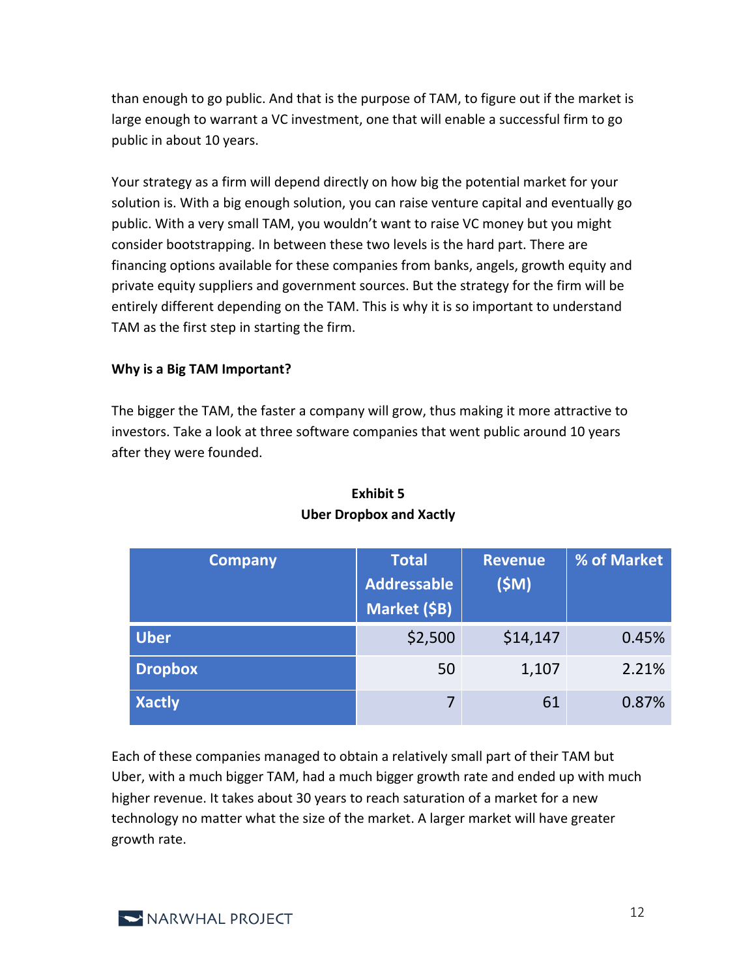than enough to go public. And that is the purpose of TAM, to figure out if the market is large enough to warrant a VC investment, one that will enable a successful firm to go public in about 10 years.

Your strategy as a firm will depend directly on how big the potential market for your solution is. With a big enough solution, you can raise venture capital and eventually go public. With a very small TAM, you wouldn't want to raise VC money but you might consider bootstrapping. In between these two levels is the hard part. There are financing options available for these companies from banks, angels, growth equity and private equity suppliers and government sources. But the strategy for the firm will be entirely different depending on the TAM. This is why it is so important to understand TAM as the first step in starting the firm.

#### **Why is a Big TAM Important?**

The bigger the TAM, the faster a company will grow, thus making it more attractive to investors. Take a look at three software companies that went public around 10 years after they were founded.

| <b>Company</b> | <b>Total</b>       | <b>Revenue</b> | % of Market |
|----------------|--------------------|----------------|-------------|
|                | <b>Addressable</b> | (SM)           |             |
|                | Market (\$B)       |                |             |
| <b>Uber</b>    | \$2,500            | \$14,147       | 0.45%       |
| <b>Dropbox</b> | 50                 | 1,107          | 2.21%       |
| <b>Xactly</b>  | 7                  | 61             | 0.87%       |

#### **Exhibit 5 Uber Dropbox and Xactly**

Each of these companies managed to obtain a relatively small part of their TAM but Uber, with a much bigger TAM, had a much bigger growth rate and ended up with much higher revenue. It takes about 30 years to reach saturation of a market for a new technology no matter what the size of the market. A larger market will have greater growth rate.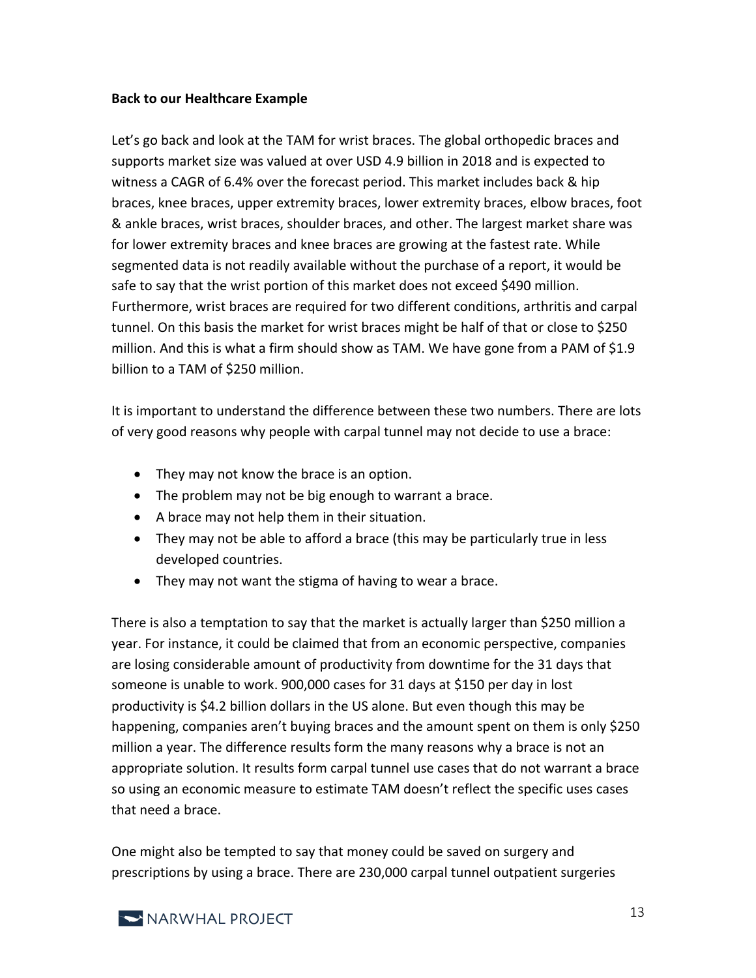#### **Back to our Healthcare Example**

Let's go back and look at the TAM for wrist braces. The global orthopedic braces and supports market size was valued at over USD 4.9 billion in 2018 and is expected to witness a CAGR of 6.4% over the forecast period. This market includes back & hip braces, knee braces, upper extremity braces, lower extremity braces, elbow braces, foot & ankle braces, wrist braces, shoulder braces, and other. The largest market share was for lower extremity braces and knee braces are growing at the fastest rate. While segmented data is not readily available without the purchase of a report, it would be safe to say that the wrist portion of this market does not exceed \$490 million. Furthermore, wrist braces are required for two different conditions, arthritis and carpal tunnel. On this basis the market for wrist braces might be half of that or close to \$250 million. And this is what a firm should show as TAM. We have gone from a PAM of \$1.9 billion to a TAM of \$250 million.

It is important to understand the difference between these two numbers. There are lots of very good reasons why people with carpal tunnel may not decide to use a brace:

- They may not know the brace is an option.
- The problem may not be big enough to warrant a brace.
- A brace may not help them in their situation.
- They may not be able to afford a brace (this may be particularly true in less developed countries.
- They may not want the stigma of having to wear a brace.

There is also a temptation to say that the market is actually larger than \$250 million a year. For instance, it could be claimed that from an economic perspective, companies are losing considerable amount of productivity from downtime for the 31 days that someone is unable to work. 900,000 cases for 31 days at \$150 per day in lost productivity is \$4.2 billion dollars in the US alone. But even though this may be happening, companies aren't buying braces and the amount spent on them is only \$250 million a year. The difference results form the many reasons why a brace is not an appropriate solution. It results form carpal tunnel use cases that do not warrant a brace so using an economic measure to estimate TAM doesn't reflect the specific uses cases that need a brace.

One might also be tempted to say that money could be saved on surgery and prescriptions by using a brace. There are 230,000 carpal tunnel outpatient surgeries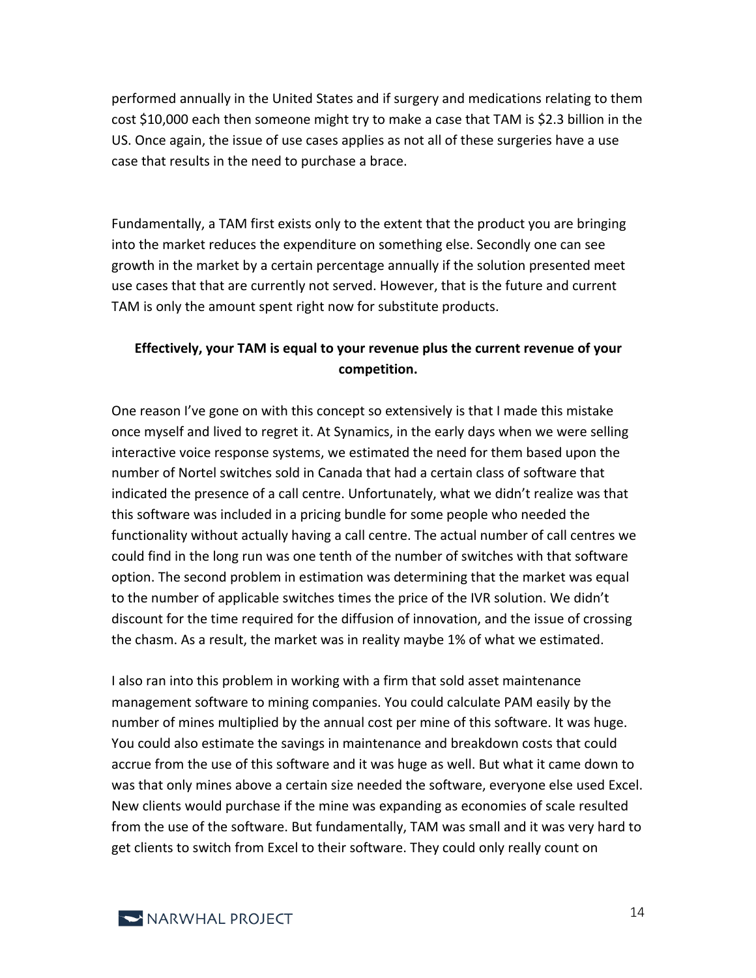performed annually in the United States and if surgery and medications relating to them cost \$10,000 each then someone might try to make a case that TAM is \$2.3 billion in the US. Once again, the issue of use cases applies as not all of these surgeries have a use case that results in the need to purchase a brace.

Fundamentally, a TAM first exists only to the extent that the product you are bringing into the market reduces the expenditure on something else. Secondly one can see growth in the market by a certain percentage annually if the solution presented meet use cases that that are currently not served. However, that is the future and current TAM is only the amount spent right now for substitute products.

#### **Effectively, your TAM is equal to your revenue plus the current revenue of your competition.**

One reason I've gone on with this concept so extensively is that I made this mistake once myself and lived to regret it. At Synamics, in the early days when we were selling interactive voice response systems, we estimated the need for them based upon the number of Nortel switches sold in Canada that had a certain class of software that indicated the presence of a call centre. Unfortunately, what we didn't realize was that this software was included in a pricing bundle for some people who needed the functionality without actually having a call centre. The actual number of call centres we could find in the long run was one tenth of the number of switches with that software option. The second problem in estimation was determining that the market was equal to the number of applicable switches times the price of the IVR solution. We didn't discount for the time required for the diffusion of innovation, and the issue of crossing the chasm. As a result, the market was in reality maybe 1% of what we estimated.

I also ran into this problem in working with a firm that sold asset maintenance management software to mining companies. You could calculate PAM easily by the number of mines multiplied by the annual cost per mine of this software. It was huge. You could also estimate the savings in maintenance and breakdown costs that could accrue from the use of this software and it was huge as well. But what it came down to was that only mines above a certain size needed the software, everyone else used Excel. New clients would purchase if the mine was expanding as economies of scale resulted from the use of the software. But fundamentally, TAM was small and it was very hard to get clients to switch from Excel to their software. They could only really count on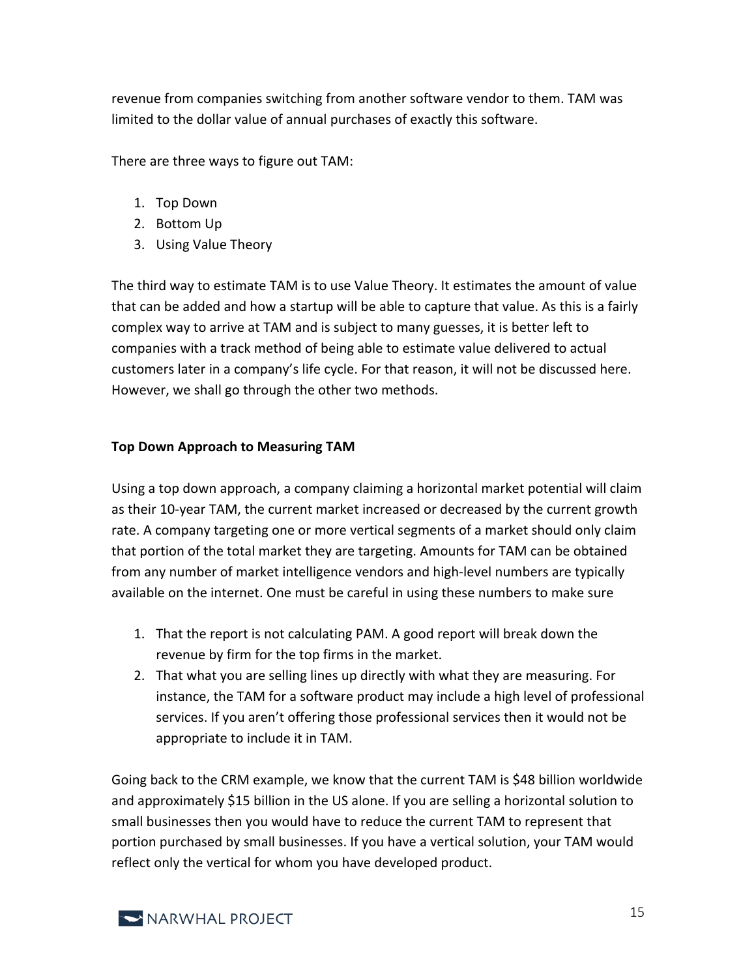revenue from companies switching from another software vendor to them. TAM was limited to the dollar value of annual purchases of exactly this software.

There are three ways to figure out TAM:

- 1. Top Down
- 2. Bottom Up
- 3. Using Value Theory

The third way to estimate TAM is to use Value Theory. It estimates the amount of value that can be added and how a startup will be able to capture that value. As this is a fairly complex way to arrive at TAM and is subject to many guesses, it is better left to companies with a track method of being able to estimate value delivered to actual customers later in a company's life cycle. For that reason, it will not be discussed here. However, we shall go through the other two methods.

#### **Top Down Approach to Measuring TAM**

Using a top down approach, a company claiming a horizontal market potential will claim as their 10-year TAM, the current market increased or decreased by the current growth rate. A company targeting one or more vertical segments of a market should only claim that portion of the total market they are targeting. Amounts for TAM can be obtained from any number of market intelligence vendors and high-level numbers are typically available on the internet. One must be careful in using these numbers to make sure

- 1. That the report is not calculating PAM. A good report will break down the revenue by firm for the top firms in the market.
- 2. That what you are selling lines up directly with what they are measuring. For instance, the TAM for a software product may include a high level of professional services. If you aren't offering those professional services then it would not be appropriate to include it in TAM.

Going back to the CRM example, we know that the current TAM is \$48 billion worldwide and approximately \$15 billion in the US alone. If you are selling a horizontal solution to small businesses then you would have to reduce the current TAM to represent that portion purchased by small businesses. If you have a vertical solution, your TAM would reflect only the vertical for whom you have developed product.

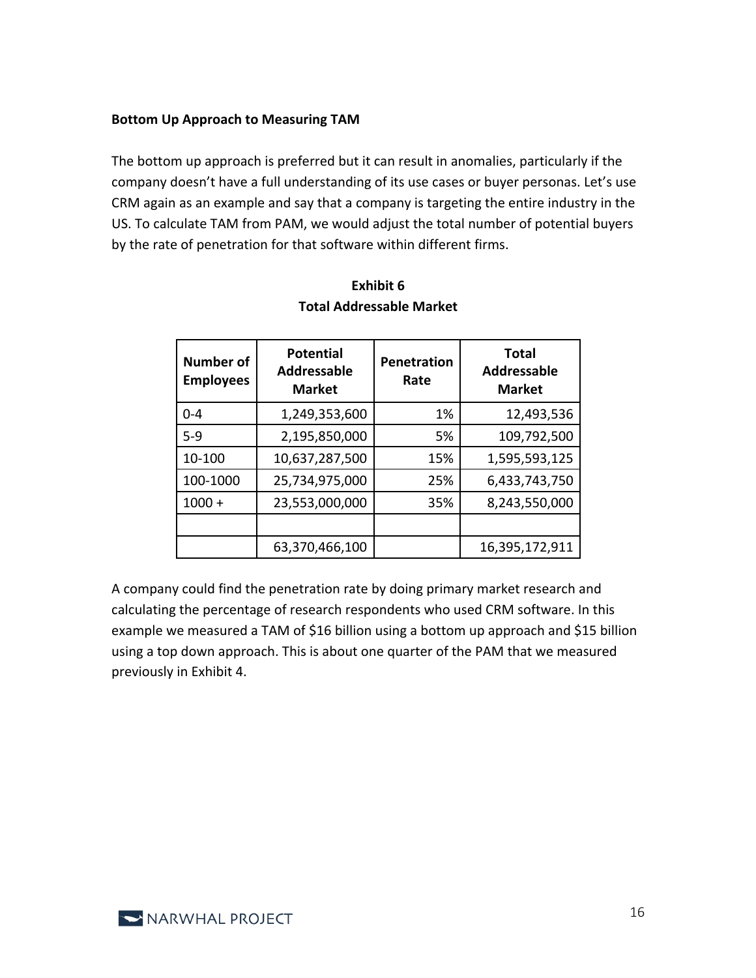#### **Bottom Up Approach to Measuring TAM**

The bottom up approach is preferred but it can result in anomalies, particularly if the company doesn't have a full understanding of its use cases or buyer personas. Let's use CRM again as an example and say that a company is targeting the entire industry in the US. To calculate TAM from PAM, we would adjust the total number of potential buyers by the rate of penetration for that software within different firms.

| <b>Number of</b><br><b>Employees</b> | <b>Potential</b><br><b>Addressable</b><br><b>Market</b> | <b>Penetration</b><br>Rate | <b>Total</b><br><b>Addressable</b><br><b>Market</b> |
|--------------------------------------|---------------------------------------------------------|----------------------------|-----------------------------------------------------|
| $0 - 4$                              | 1,249,353,600                                           | 1%                         | 12,493,536                                          |
| $5-9$                                | 2,195,850,000                                           | 5%                         | 109,792,500                                         |
| 10-100                               | 10,637,287,500                                          | 15%                        | 1,595,593,125                                       |
| 100-1000                             | 25,734,975,000                                          | 25%                        | 6,433,743,750                                       |
| $1000 +$                             | 23,553,000,000                                          | 35%                        | 8,243,550,000                                       |
|                                      |                                                         |                            |                                                     |
|                                      | 63,370,466,100                                          |                            | 16,395,172,911                                      |

#### **Exhibit 6 Total Addressable Market**

A company could find the penetration rate by doing primary market research and calculating the percentage of research respondents who used CRM software. In this example we measured a TAM of \$16 billion using a bottom up approach and \$15 billion using a top down approach. This is about one quarter of the PAM that we measured previously in Exhibit 4.

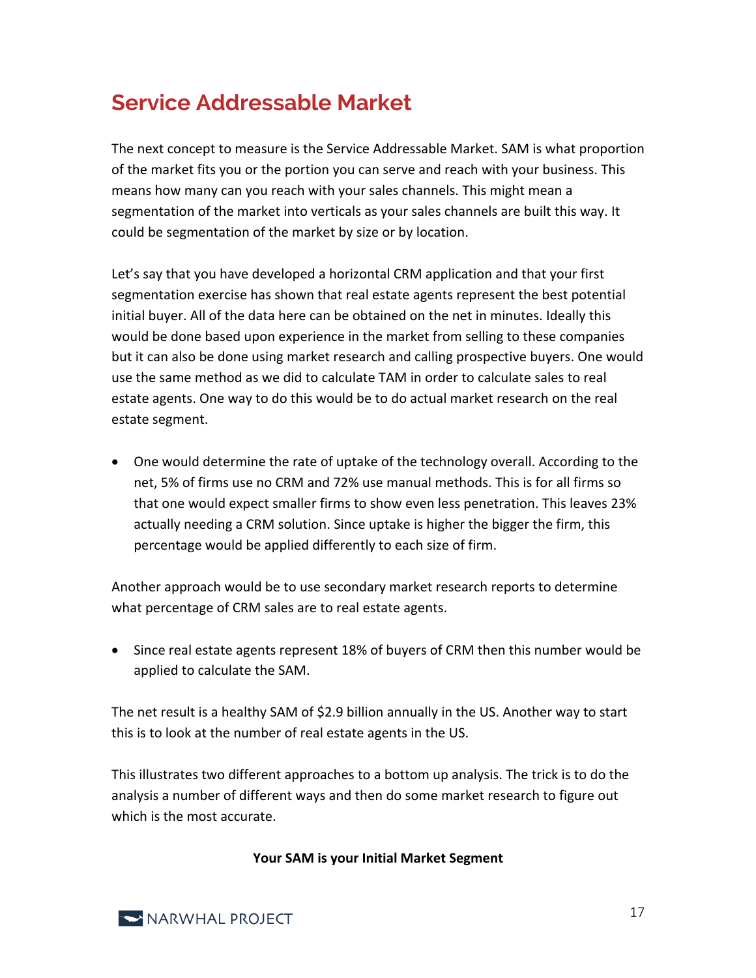## **Service Addressable Market**

The next concept to measure is the Service Addressable Market. SAM is what proportion of the market fits you or the portion you can serve and reach with your business. This means how many can you reach with your sales channels. This might mean a segmentation of the market into verticals as your sales channels are built this way. It could be segmentation of the market by size or by location.

Let's say that you have developed a horizontal CRM application and that your first segmentation exercise has shown that real estate agents represent the best potential initial buyer. All of the data here can be obtained on the net in minutes. Ideally this would be done based upon experience in the market from selling to these companies but it can also be done using market research and calling prospective buyers. One would use the same method as we did to calculate TAM in order to calculate sales to real estate agents. One way to do this would be to do actual market research on the real estate segment.

• One would determine the rate of uptake of the technology overall. According to the net, 5% of firms use no CRM and 72% use manual methods. This is for all firms so that one would expect smaller firms to show even less penetration. This leaves 23% actually needing a CRM solution. Since uptake is higher the bigger the firm, this percentage would be applied differently to each size of firm.

Another approach would be to use secondary market research reports to determine what percentage of CRM sales are to real estate agents.

• Since real estate agents represent 18% of buyers of CRM then this number would be applied to calculate the SAM.

The net result is a healthy SAM of \$2.9 billion annually in the US. Another way to start this is to look at the number of real estate agents in the US.

This illustrates two different approaches to a bottom up analysis. The trick is to do the analysis a number of different ways and then do some market research to figure out which is the most accurate.

**Your SAM is your Initial Market Segment**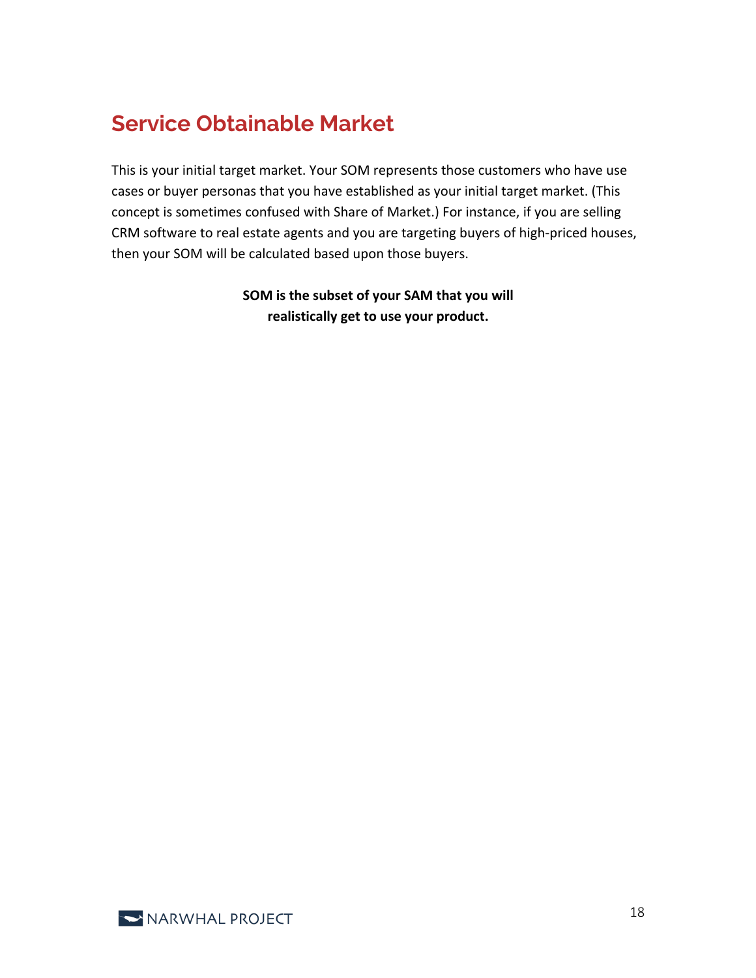## **Service Obtainable Market**

This is your initial target market. Your SOM represents those customers who have use cases or buyer personas that you have established as your initial target market. (This concept is sometimes confused with Share of Market.) For instance, if you are selling CRM software to real estate agents and you are targeting buyers of high-priced houses, then your SOM will be calculated based upon those buyers.

> **SOM is the subset of your SAM that you will realistically get to use your product.**

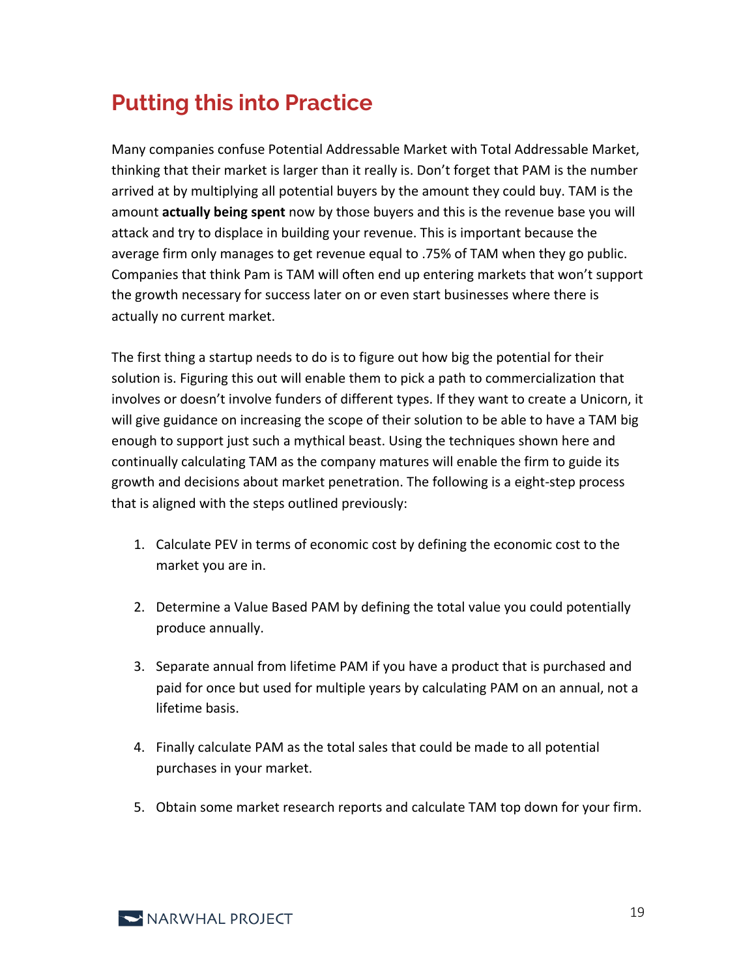## **Putting this into Practice**

Many companies confuse Potential Addressable Market with Total Addressable Market, thinking that their market is larger than it really is. Don't forget that PAM is the number arrived at by multiplying all potential buyers by the amount they could buy. TAM is the amount **actually being spent** now by those buyers and this is the revenue base you will attack and try to displace in building your revenue. This is important because the average firm only manages to get revenue equal to .75% of TAM when they go public. Companies that think Pam is TAM will often end up entering markets that won't support the growth necessary for success later on or even start businesses where there is actually no current market.

The first thing a startup needs to do is to figure out how big the potential for their solution is. Figuring this out will enable them to pick a path to commercialization that involves or doesn't involve funders of different types. If they want to create a Unicorn, it will give guidance on increasing the scope of their solution to be able to have a TAM big enough to support just such a mythical beast. Using the techniques shown here and continually calculating TAM as the company matures will enable the firm to guide its growth and decisions about market penetration. The following is a eight-step process that is aligned with the steps outlined previously:

- 1. Calculate PEV in terms of economic cost by defining the economic cost to the market you are in.
- 2. Determine a Value Based PAM by defining the total value you could potentially produce annually.
- 3. Separate annual from lifetime PAM if you have a product that is purchased and paid for once but used for multiple years by calculating PAM on an annual, not a lifetime basis.
- 4. Finally calculate PAM as the total sales that could be made to all potential purchases in your market.
- 5. Obtain some market research reports and calculate TAM top down for your firm.

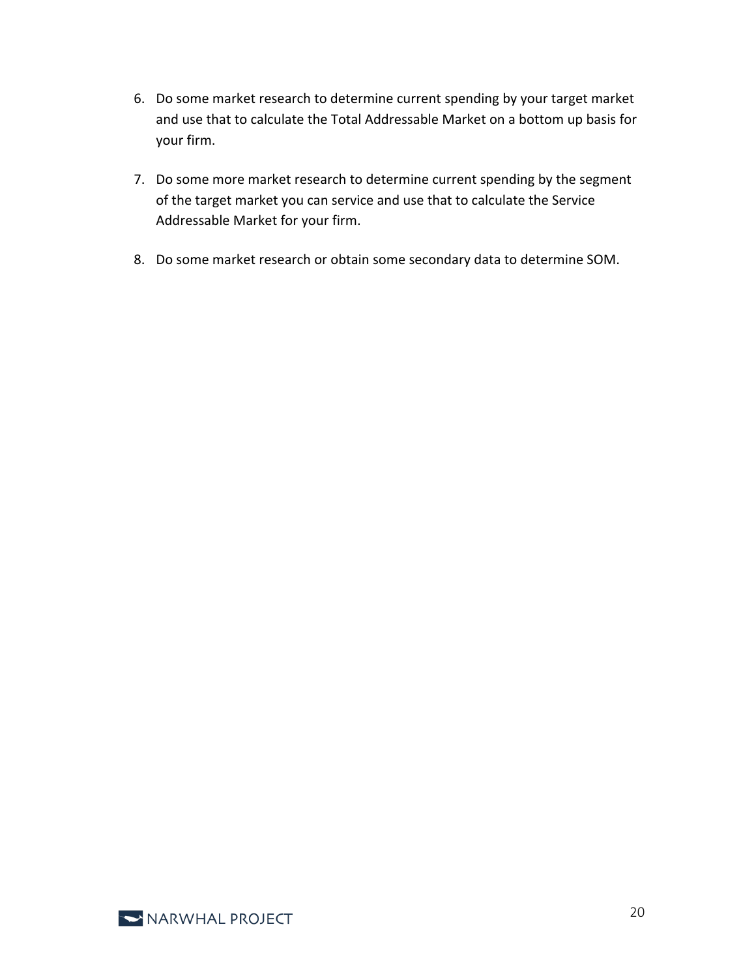- 6. Do some market research to determine current spending by your target market and use that to calculate the Total Addressable Market on a bottom up basis for your firm.
- 7. Do some more market research to determine current spending by the segment of the target market you can service and use that to calculate the Service Addressable Market for your firm.
- 8. Do some market research or obtain some secondary data to determine SOM.